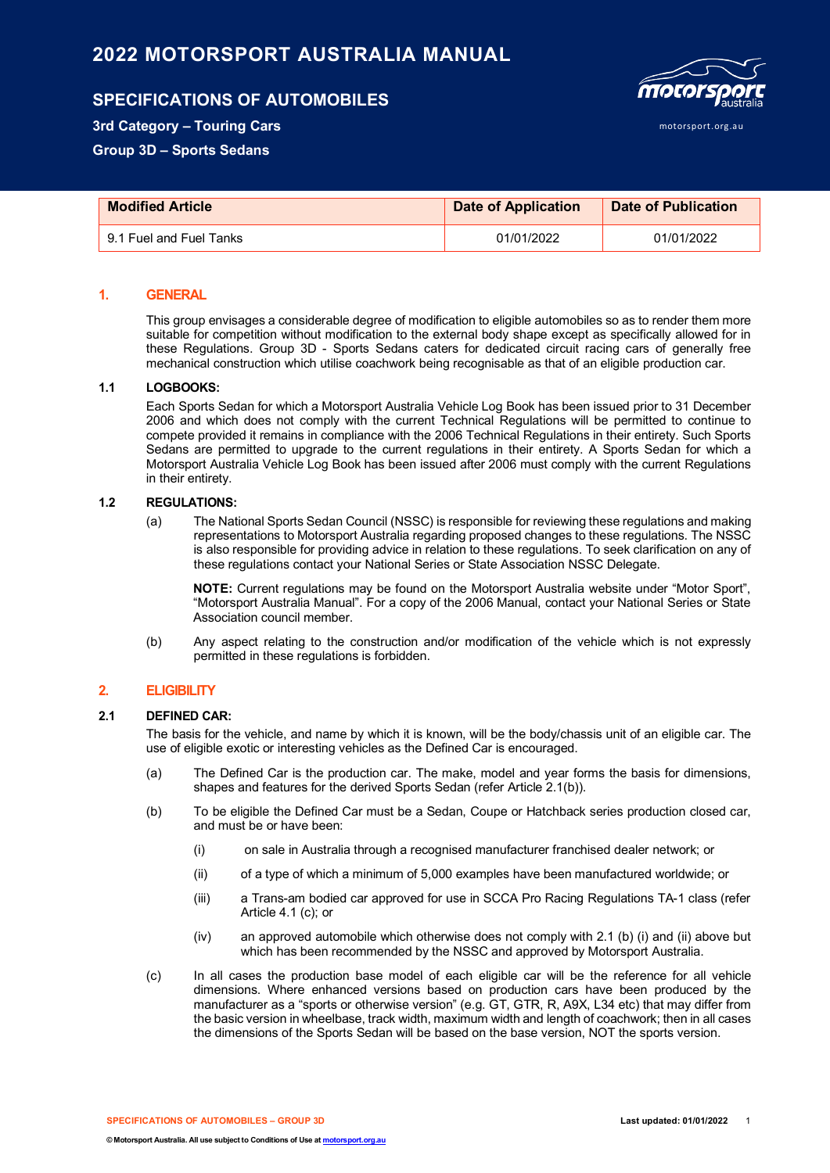# **2022 MOTORSPORT AUSTRALIA MANUAL**

## **SPECIFICATIONS OF AUTOMOBILES**



motorsport.org.au

**3rd Category – Touring Cars**

**Group 3D – Sports Sedans**

| <b>Modified Article</b> | <b>Date of Application</b> | Date of Publication |
|-------------------------|----------------------------|---------------------|
| 9.1 Fuel and Fuel Tanks | 01/01/2022                 | 01/01/2022          |

## **1. GENERAL**

This group envisages a considerable degree of modification to eligible automobiles so as to render them more suitable for competition without modification to the external body shape except as specifically allowed for in these Regulations. Group 3D - Sports Sedans caters for dedicated circuit racing cars of generally free mechanical construction which utilise coachwork being recognisable as that of an eligible production car.

#### **1.1 LOGBOOKS:**

Each Sports Sedan for which a Motorsport Australia Vehicle Log Book has been issued prior to 31 December 2006 and which does not comply with the current Technical Regulations will be permitted to continue to compete provided it remains in compliance with the 2006 Technical Regulations in their entirety. Such Sports Sedans are permitted to upgrade to the current regulations in their entirety. A Sports Sedan for which a Motorsport Australia Vehicle Log Book has been issued after 2006 must comply with the current Regulations in their entirety.

#### **1.2 REGULATIONS:**

(a) The National Sports Sedan Council (NSSC) is responsible for reviewing these regulations and making representations to Motorsport Australia regarding proposed changes to these regulations. The NSSC is also responsible for providing advice in relation to these regulations. To seek clarification on any of these regulations contact your National Series or State Association NSSC Delegate.

**NOTE:** Current regulations may be found on the Motorsport Australia website under "Motor Sport", "Motorsport Australia Manual". For a copy of the 2006 Manual, contact your National Series or State Association council member.

(b) Any aspect relating to the construction and/or modification of the vehicle which is not expressly permitted in these regulations is forbidden.

## **2. ELIGIBILITY**

## **2.1 DEFINED CAR:**

The basis for the vehicle, and name by which it is known, will be the body/chassis unit of an eligible car. The use of eligible exotic or interesting vehicles as the Defined Car is encouraged.

- (a) The Defined Car is the production car. The make, model and year forms the basis for dimensions, shapes and features for the derived Sports Sedan (refer Article 2.1(b)).
- (b) To be eligible the Defined Car must be a Sedan, Coupe or Hatchback series production closed car, and must be or have been:
	- (i) on sale in Australia through a recognised manufacturer franchised dealer network; or
	- (ii) of a type of which a minimum of 5,000 examples have been manufactured worldwide; or
	- (iii) a Trans-am bodied car approved for use in SCCA Pro Racing Regulations TA-1 class (refer Article 4.1 (c); or
	- (iv) an approved automobile which otherwise does not comply with 2.1 (b) (i) and (ii) above but which has been recommended by the NSSC and approved by Motorsport Australia.
- (c) In all cases the production base model of each eligible car will be the reference for all vehicle dimensions. Where enhanced versions based on production cars have been produced by the manufacturer as a "sports or otherwise version" (e.g. GT, GTR, R, A9X, L34 etc) that may differ from the basic version in wheelbase, track width, maximum width and length of coachwork; then in all cases the dimensions of the Sports Sedan will be based on the base version, NOT the sports version.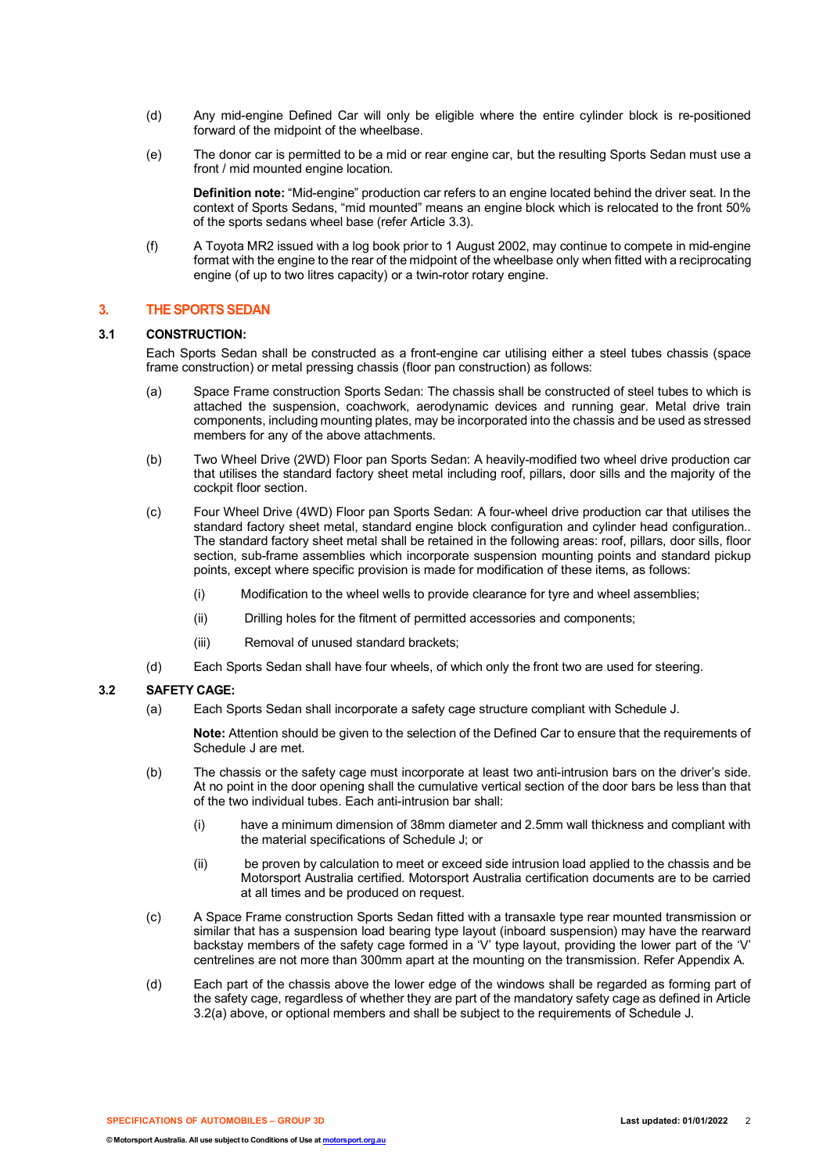- (d) Any mid-engine Defined Car will only be eligible where the entire cylinder block is re-positioned forward of the midpoint of the wheelbase.
- (e) The donor car is permitted to be a mid or rear engine car, but the resulting Sports Sedan must use a front / mid mounted engine location.

**Definition note:** "Mid-engine" production car refers to an engine located behind the driver seat. In the context of Sports Sedans, "mid mounted" means an engine block which is relocated to the front 50% of the sports sedans wheel base (refer Article 3.3).

(f) A Toyota MR2 issued with a log book prior to 1 August 2002, may continue to compete in mid-engine format with the engine to the rear of the midpoint of the wheelbase only when fitted with a reciprocating engine (of up to two litres capacity) or a twin-rotor rotary engine.

## **3. THE SPORTS SEDAN**

#### **3.1 CONSTRUCTION:**

Each Sports Sedan shall be constructed as a front-engine car utilising either a steel tubes chassis (space frame construction) or metal pressing chassis (floor pan construction) as follows:

- (a) Space Frame construction Sports Sedan: The chassis shall be constructed of steel tubes to which is attached the suspension, coachwork, aerodynamic devices and running gear. Metal drive train components, including mounting plates, may be incorporated into the chassis and be used as stressed members for any of the above attachments.
- (b) Two Wheel Drive (2WD) Floor pan Sports Sedan: A heavily-modified two wheel drive production car that utilises the standard factory sheet metal including roof, pillars, door sills and the majority of the cockpit floor section.
- (c) Four Wheel Drive (4WD) Floor pan Sports Sedan: A four-wheel drive production car that utilises the standard factory sheet metal, standard engine block configuration and cylinder head configuration.. The standard factory sheet metal shall be retained in the following areas: roof, pillars, door sills, floor section, sub-frame assemblies which incorporate suspension mounting points and standard pickup points, except where specific provision is made for modification of these items, as follows:
	- (i) Modification to the wheel wells to provide clearance for tyre and wheel assemblies;
	- (ii) Drilling holes for the fitment of permitted accessories and components;
	- (iii) Removal of unused standard brackets;
- (d) Each Sports Sedan shall have four wheels, of which only the front two are used for steering.

#### **3.2 SAFETY CAGE:**

(a) Each Sports Sedan shall incorporate a safety cage structure compliant with Schedule J.

**Note:** Attention should be given to the selection of the Defined Car to ensure that the requirements of Schedule J are met.

- (b) The chassis or the safety cage must incorporate at least two anti-intrusion bars on the driver's side. At no point in the door opening shall the cumulative vertical section of the door bars be less than that of the two individual tubes. Each anti-intrusion bar shall:
	- (i) have a minimum dimension of 38mm diameter and 2.5mm wall thickness and compliant with the material specifications of Schedule J; or
	- (ii) be proven by calculation to meet or exceed side intrusion load applied to the chassis and be Motorsport Australia certified. Motorsport Australia certification documents are to be carried at all times and be produced on request.
- (c) A Space Frame construction Sports Sedan fitted with a transaxle type rear mounted transmission or similar that has a suspension load bearing type layout (inboard suspension) may have the rearward backstay members of the safety cage formed in a 'V' type layout, providing the lower part of the 'V' centrelines are not more than 300mm apart at the mounting on the transmission. Refer Appendix A.
- (d) Each part of the chassis above the lower edge of the windows shall be regarded as forming part of the safety cage, regardless of whether they are part of the mandatory safety cage as defined in Article 3.2(a) above, or optional members and shall be subject to the requirements of Schedule J.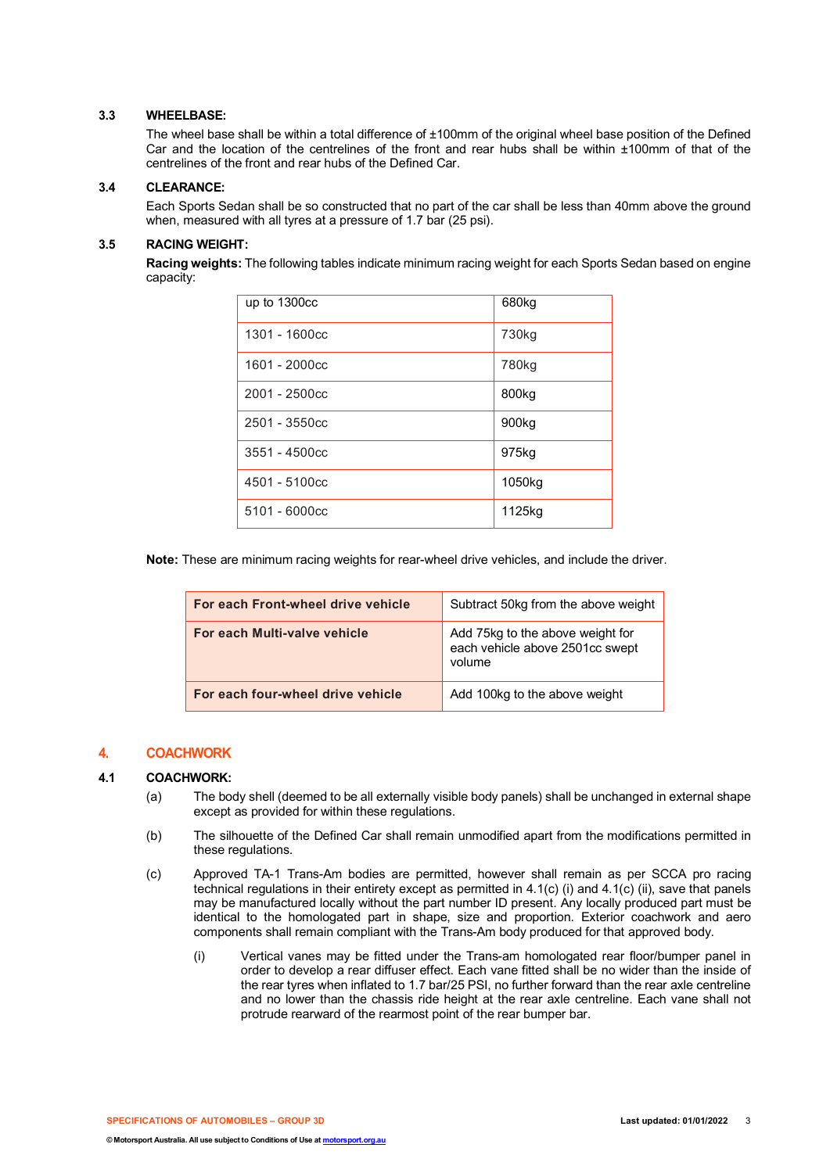## **3.3 WHEELBASE:**

The wheel base shall be within a total difference of ±100mm of the original wheel base position of the Defined Car and the location of the centrelines of the front and rear hubs shall be within ±100mm of that of the centrelines of the front and rear hubs of the Defined Car.

#### **3.4 CLEARANCE:**

Each Sports Sedan shall be so constructed that no part of the car shall be less than 40mm above the ground when, measured with all tyres at a pressure of 1.7 bar (25 psi).

## **3.5 RACING WEIGHT:**

**Racing weights:** The following tables indicate minimum racing weight for each Sports Sedan based on engine capacity:

| up to 1300cc   | 680kg             |
|----------------|-------------------|
| 1301 - 1600cc  | 730 <sub>kg</sub> |
| 1601 - 2000cc  | 780kg             |
| $2001 - 2500c$ | 800 <sub>kg</sub> |
| 2501 - 3550cc  | 900 <sub>kg</sub> |
| 3551 - 4500cc  | 975kg             |
| 4501 - 5100cc  | 1050kg            |
| 5101 - 6000cc  | 1125kg            |

**Note:** These are minimum racing weights for rear-wheel drive vehicles, and include the driver.

| For each Front-wheel drive vehicle | Subtract 50kg from the above weight                                           |
|------------------------------------|-------------------------------------------------------------------------------|
| For each Multi-valve vehicle       | Add 75kg to the above weight for<br>each vehicle above 2501cc swept<br>volume |
| For each four-wheel drive vehicle  | Add 100kg to the above weight                                                 |

## **4. COACHWORK**

#### **4.1 COACHWORK:**

- (a) The body shell (deemed to be all externally visible body panels) shall be unchanged in external shape except as provided for within these regulations.
- (b) The silhouette of the Defined Car shall remain unmodified apart from the modifications permitted in these regulations.
- (c) Approved TA-1 Trans-Am bodies are permitted, however shall remain as per SCCA pro racing technical regulations in their entirety except as permitted in 4.1(c) (i) and 4.1(c) (ii), save that panels may be manufactured locally without the part number ID present. Any locally produced part must be identical to the homologated part in shape, size and proportion. Exterior coachwork and aero components shall remain compliant with the Trans-Am body produced for that approved body.
	- (i) Vertical vanes may be fitted under the Trans-am homologated rear floor/bumper panel in order to develop a rear diffuser effect. Each vane fitted shall be no wider than the inside of the rear tyres when inflated to 1.7 bar/25 PSI, no further forward than the rear axle centreline and no lower than the chassis ride height at the rear axle centreline. Each vane shall not protrude rearward of the rearmost point of the rear bumper bar.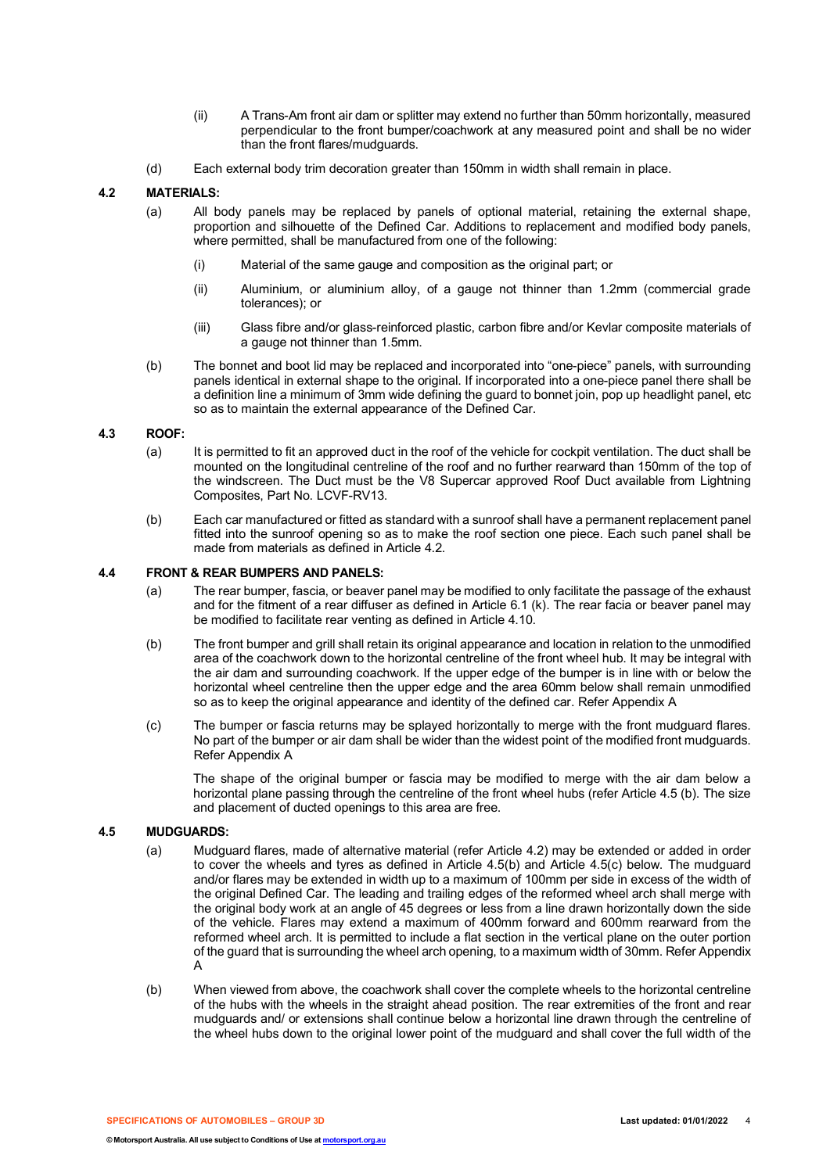- (ii) A Trans-Am front air dam or splitter may extend no further than 50mm horizontally, measured perpendicular to the front bumper/coachwork at any measured point and shall be no wider than the front flares/mudguards.
- (d) Each external body trim decoration greater than 150mm in width shall remain in place.

#### **4.2 MATERIALS:**

- (a) All body panels may be replaced by panels of optional material, retaining the external shape, proportion and silhouette of the Defined Car. Additions to replacement and modified body panels, where permitted, shall be manufactured from one of the following:
	- (i) Material of the same gauge and composition as the original part; or
	- (ii) Aluminium, or aluminium alloy, of a gauge not thinner than 1.2mm (commercial grade tolerances); or
	- (iii) Glass fibre and/or glass-reinforced plastic, carbon fibre and/or Kevlar composite materials of a gauge not thinner than 1.5mm.
- (b) The bonnet and boot lid may be replaced and incorporated into "one-piece" panels, with surrounding panels identical in external shape to the original. If incorporated into a one-piece panel there shall be a definition line a minimum of 3mm wide defining the guard to bonnet join, pop up headlight panel, etc so as to maintain the external appearance of the Defined Car.

#### **4.3 ROOF:**

- (a) It is permitted to fit an approved duct in the roof of the vehicle for cockpit ventilation. The duct shall be mounted on the longitudinal centreline of the roof and no further rearward than 150mm of the top of the windscreen. The Duct must be the V8 Supercar approved Roof Duct available from Lightning Composites, Part No. LCVF-RV13.
- (b) Each car manufactured or fitted as standard with a sunroof shall have a permanent replacement panel fitted into the sunroof opening so as to make the roof section one piece. Each such panel shall be made from materials as defined in Article 4.2.

#### **4.4 FRONT & REAR BUMPERS AND PANELS:**

- (a) The rear bumper, fascia, or beaver panel may be modified to only facilitate the passage of the exhaust and for the fitment of a rear diffuser as defined in Article 6.1 (k). The rear facia or beaver panel may be modified to facilitate rear venting as defined in Article 4.10.
- (b) The front bumper and grill shall retain its original appearance and location in relation to the unmodified area of the coachwork down to the horizontal centreline of the front wheel hub. It may be integral with the air dam and surrounding coachwork. If the upper edge of the bumper is in line with or below the horizontal wheel centreline then the upper edge and the area 60mm below shall remain unmodified so as to keep the original appearance and identity of the defined car. Refer Appendix A
- (c) The bumper or fascia returns may be splayed horizontally to merge with the front mudguard flares. No part of the bumper or air dam shall be wider than the widest point of the modified front mudguards. Refer Appendix A

The shape of the original bumper or fascia may be modified to merge with the air dam below a horizontal plane passing through the centreline of the front wheel hubs (refer Article 4.5 (b). The size and placement of ducted openings to this area are free.

#### **4.5 MUDGUARDS:**

- (a) Mudguard flares, made of alternative material (refer Article 4.2) may be extended or added in order to cover the wheels and tyres as defined in Article 4.5(b) and Article 4.5(c) below. The mudguard and/or flares may be extended in width up to a maximum of 100mm per side in excess of the width of the original Defined Car. The leading and trailing edges of the reformed wheel arch shall merge with the original body work at an angle of 45 degrees or less from a line drawn horizontally down the side of the vehicle. Flares may extend a maximum of 400mm forward and 600mm rearward from the reformed wheel arch. It is permitted to include a flat section in the vertical plane on the outer portion of the guard that is surrounding the wheel arch opening, to a maximum width of 30mm. Refer Appendix A
- (b) When viewed from above, the coachwork shall cover the complete wheels to the horizontal centreline of the hubs with the wheels in the straight ahead position. The rear extremities of the front and rear mudguards and/ or extensions shall continue below a horizontal line drawn through the centreline of the wheel hubs down to the original lower point of the mudguard and shall cover the full width of the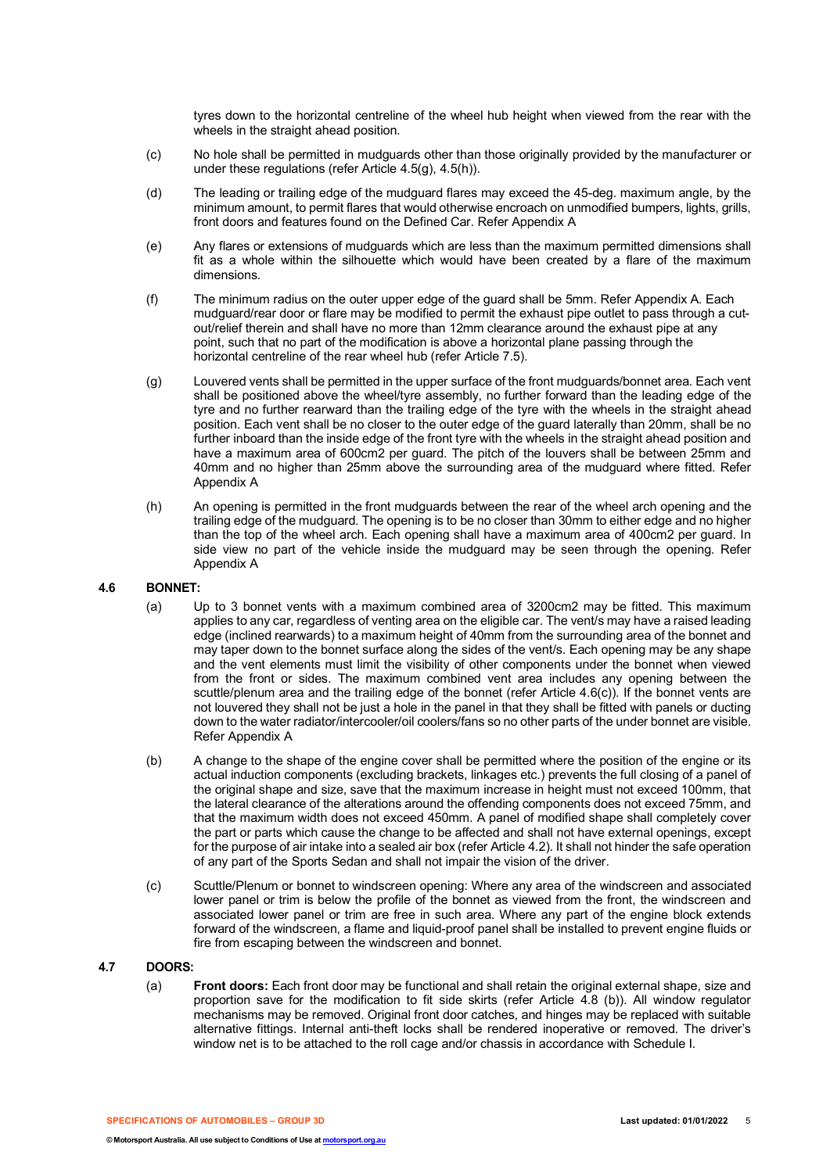tyres down to the horizontal centreline of the wheel hub height when viewed from the rear with the wheels in the straight ahead position.

- (c) No hole shall be permitted in mudguards other than those originally provided by the manufacturer or under these regulations (refer Article 4.5(g), 4.5(h)).
- (d) The leading or trailing edge of the mudguard flares may exceed the 45-deg. maximum angle, by the minimum amount, to permit flares that would otherwise encroach on unmodified bumpers, lights, grills, front doors and features found on the Defined Car. Refer Appendix A
- (e) Any flares or extensions of mudguards which are less than the maximum permitted dimensions shall fit as a whole within the silhouette which would have been created by a flare of the maximum dimensions.
- (f) The minimum radius on the outer upper edge of the guard shall be 5mm. Refer Appendix A. Each mudguard/rear door or flare may be modified to permit the exhaust pipe outlet to pass through a cutout/relief therein and shall have no more than 12mm clearance around the exhaust pipe at any point, such that no part of the modification is above a horizontal plane passing through the horizontal centreline of the rear wheel hub (refer Article 7.5).
- (g) Louvered vents shall be permitted in the upper surface of the front mudguards/bonnet area. Each vent shall be positioned above the wheel/tyre assembly, no further forward than the leading edge of the tyre and no further rearward than the trailing edge of the tyre with the wheels in the straight ahead position. Each vent shall be no closer to the outer edge of the guard laterally than 20mm, shall be no further inboard than the inside edge of the front tyre with the wheels in the straight ahead position and have a maximum area of 600cm2 per guard. The pitch of the louvers shall be between 25mm and 40mm and no higher than 25mm above the surrounding area of the mudguard where fitted. Refer Appendix A
- (h) An opening is permitted in the front mudguards between the rear of the wheel arch opening and the trailing edge of the mudguard. The opening is to be no closer than 30mm to either edge and no higher than the top of the wheel arch. Each opening shall have a maximum area of 400cm2 per guard. In side view no part of the vehicle inside the mudguard may be seen through the opening. Refer Appendix A

#### **4.6 BONNET:**

- (a) Up to 3 bonnet vents with a maximum combined area of 3200cm2 may be fitted. This maximum applies to any car, regardless of venting area on the eligible car. The vent/s may have a raised leading edge (inclined rearwards) to a maximum height of 40mm from the surrounding area of the bonnet and may taper down to the bonnet surface along the sides of the vent/s. Each opening may be any shape and the vent elements must limit the visibility of other components under the bonnet when viewed from the front or sides. The maximum combined vent area includes any opening between the scuttle/plenum area and the trailing edge of the bonnet (refer Article 4.6(c)). If the bonnet vents are not louvered they shall not be just a hole in the panel in that they shall be fitted with panels or ducting down to the water radiator/intercooler/oil coolers/fans so no other parts of the under bonnet are visible. Refer Appendix A
- (b) A change to the shape of the engine cover shall be permitted where the position of the engine or its actual induction components (excluding brackets, linkages etc.) prevents the full closing of a panel of the original shape and size, save that the maximum increase in height must not exceed 100mm, that the lateral clearance of the alterations around the offending components does not exceed 75mm, and that the maximum width does not exceed 450mm. A panel of modified shape shall completely cover the part or parts which cause the change to be affected and shall not have external openings, except for the purpose of air intake into a sealed air box (refer Article 4.2). It shall not hinder the safe operation of any part of the Sports Sedan and shall not impair the vision of the driver.
- (c) Scuttle/Plenum or bonnet to windscreen opening: Where any area of the windscreen and associated lower panel or trim is below the profile of the bonnet as viewed from the front, the windscreen and associated lower panel or trim are free in such area. Where any part of the engine block extends forward of the windscreen, a flame and liquid-proof panel shall be installed to prevent engine fluids or fire from escaping between the windscreen and bonnet.

#### **4.7 DOORS:**

(a) **Front doors:** Each front door may be functional and shall retain the original external shape, size and proportion save for the modification to fit side skirts (refer Article 4.8 (b)). All window regulator mechanisms may be removed. Original front door catches, and hinges may be replaced with suitable alternative fittings. Internal anti-theft locks shall be rendered inoperative or removed. The driver's window net is to be attached to the roll cage and/or chassis in accordance with Schedule I.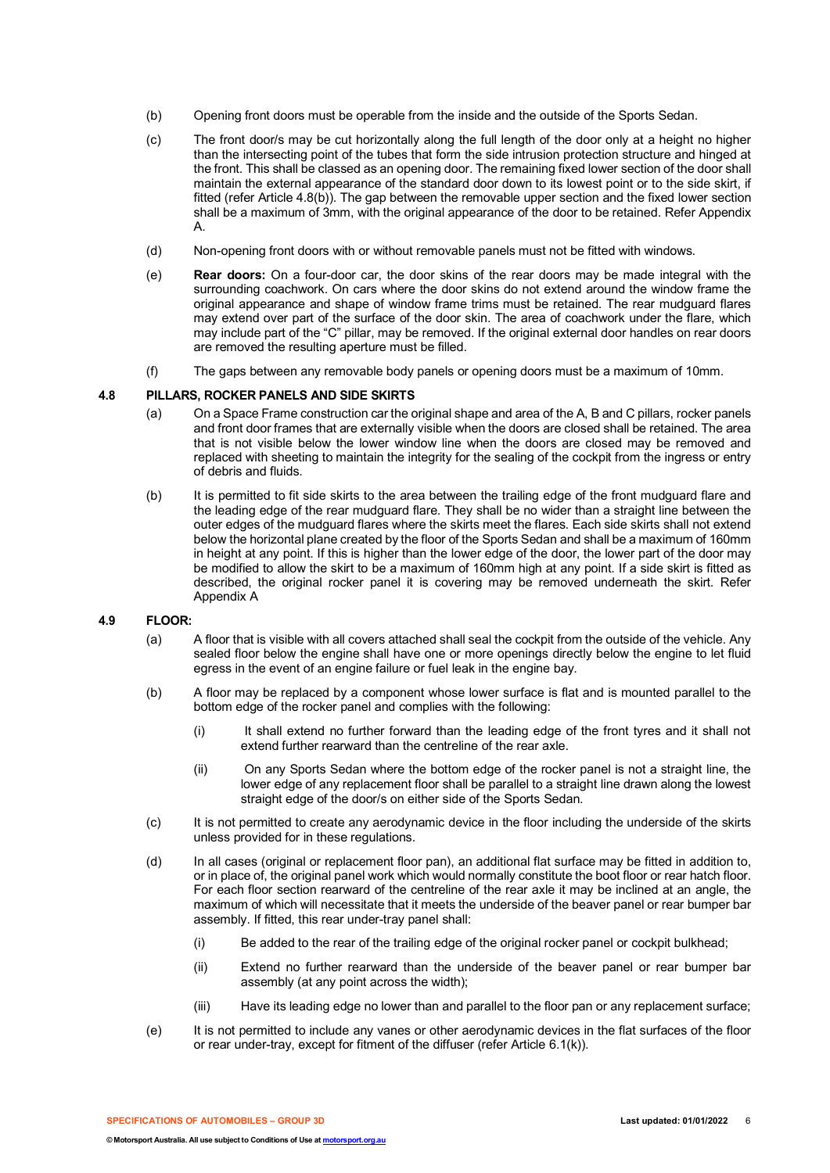- (b) Opening front doors must be operable from the inside and the outside of the Sports Sedan.
- (c) The front door/s may be cut horizontally along the full length of the door only at a height no higher than the intersecting point of the tubes that form the side intrusion protection structure and hinged at the front. This shall be classed as an opening door. The remaining fixed lower section of the door shall maintain the external appearance of the standard door down to its lowest point or to the side skirt, if fitted (refer Article 4.8(b)). The gap between the removable upper section and the fixed lower section shall be a maximum of 3mm, with the original appearance of the door to be retained. Refer Appendix A.
- (d) Non-opening front doors with or without removable panels must not be fitted with windows.
- (e) **Rear doors:** On a four-door car, the door skins of the rear doors may be made integral with the surrounding coachwork. On cars where the door skins do not extend around the window frame the original appearance and shape of window frame trims must be retained. The rear mudguard flares may extend over part of the surface of the door skin. The area of coachwork under the flare, which may include part of the "C" pillar, may be removed. If the original external door handles on rear doors are removed the resulting aperture must be filled.
- (f) The gaps between any removable body panels or opening doors must be a maximum of 10mm.

#### **4.8 PILLARS, ROCKER PANELS AND SIDE SKIRTS**

- (a) On a Space Frame construction car the original shape and area of the A, B and C pillars, rocker panels and front door frames that are externally visible when the doors are closed shall be retained. The area that is not visible below the lower window line when the doors are closed may be removed and replaced with sheeting to maintain the integrity for the sealing of the cockpit from the ingress or entry of debris and fluids.
- (b) It is permitted to fit side skirts to the area between the trailing edge of the front mudguard flare and the leading edge of the rear mudguard flare. They shall be no wider than a straight line between the outer edges of the mudguard flares where the skirts meet the flares. Each side skirts shall not extend below the horizontal plane created by the floor of the Sports Sedan and shall be a maximum of 160mm in height at any point. If this is higher than the lower edge of the door, the lower part of the door may be modified to allow the skirt to be a maximum of 160mm high at any point. If a side skirt is fitted as described, the original rocker panel it is covering may be removed underneath the skirt. Refer Appendix A

#### **4.9 FLOOR:**

- (a) A floor that is visible with all covers attached shall seal the cockpit from the outside of the vehicle. Any sealed floor below the engine shall have one or more openings directly below the engine to let fluid egress in the event of an engine failure or fuel leak in the engine bay.
- (b) A floor may be replaced by a component whose lower surface is flat and is mounted parallel to the bottom edge of the rocker panel and complies with the following:
	- (i) It shall extend no further forward than the leading edge of the front tyres and it shall not extend further rearward than the centreline of the rear axle.
	- (ii) On any Sports Sedan where the bottom edge of the rocker panel is not a straight line, the lower edge of any replacement floor shall be parallel to a straight line drawn along the lowest straight edge of the door/s on either side of the Sports Sedan.
- (c) It is not permitted to create any aerodynamic device in the floor including the underside of the skirts unless provided for in these regulations.
- (d) In all cases (original or replacement floor pan), an additional flat surface may be fitted in addition to, or in place of, the original panel work which would normally constitute the boot floor or rear hatch floor. For each floor section rearward of the centreline of the rear axle it may be inclined at an angle, the maximum of which will necessitate that it meets the underside of the beaver panel or rear bumper bar assembly. If fitted, this rear under-tray panel shall:
	- (i) Be added to the rear of the trailing edge of the original rocker panel or cockpit bulkhead;
	- (ii) Extend no further rearward than the underside of the beaver panel or rear bumper bar assembly (at any point across the width);
	- (iii) Have its leading edge no lower than and parallel to the floor pan or any replacement surface;
- (e) It is not permitted to include any vanes or other aerodynamic devices in the flat surfaces of the floor or rear under-tray, except for fitment of the diffuser (refer Article 6.1(k)).

**SPECIFICATIONS OF AUTOMOBILES – GROUP 3D Last updated: 01/01/2022** 6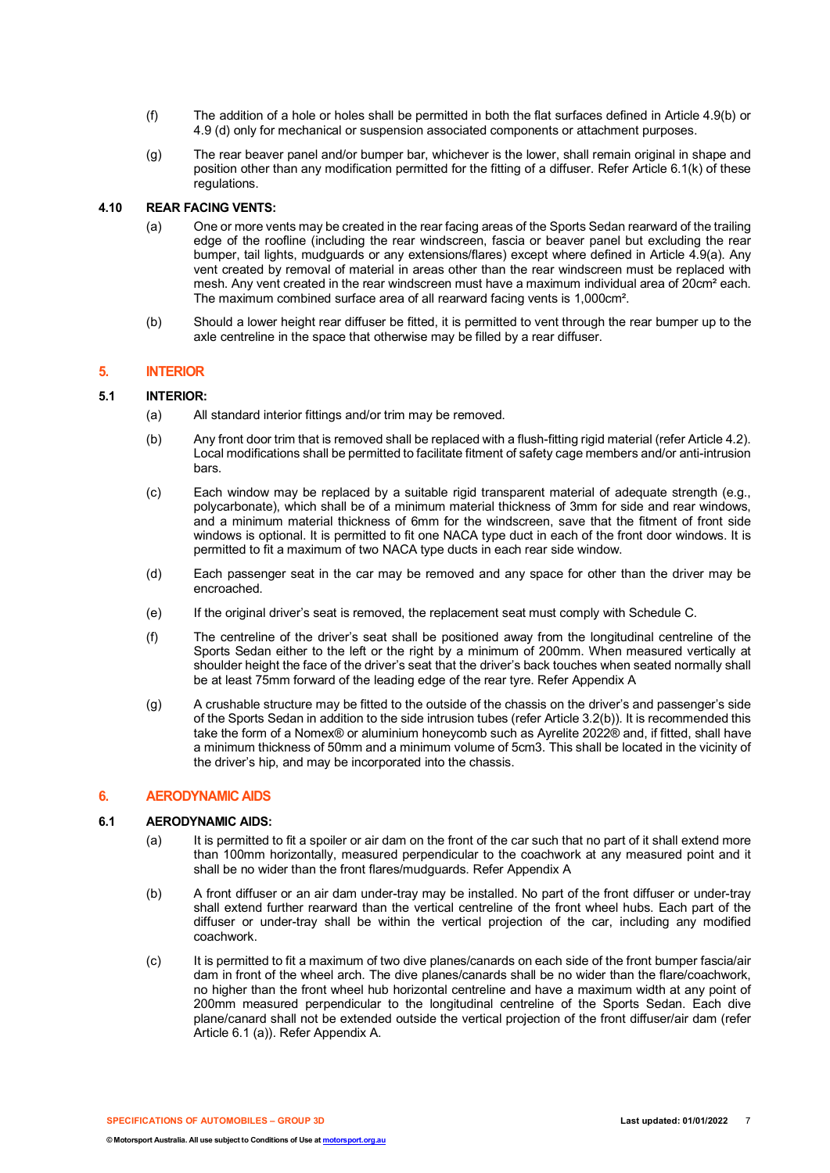- (f) The addition of a hole or holes shall be permitted in both the flat surfaces defined in Article 4.9(b) or 4.9 (d) only for mechanical or suspension associated components or attachment purposes.
- (g) The rear beaver panel and/or bumper bar, whichever is the lower, shall remain original in shape and position other than any modification permitted for the fitting of a diffuser. Refer Article 6.1(k) of these regulations.

## **4.10 REAR FACING VENTS:**

- (a) One or more vents may be created in the rear facing areas of the Sports Sedan rearward of the trailing edge of the roofline (including the rear windscreen, fascia or beaver panel but excluding the rear bumper, tail lights, mudguards or any extensions/flares) except where defined in Article 4.9(a). Any vent created by removal of material in areas other than the rear windscreen must be replaced with mesh. Any vent created in the rear windscreen must have a maximum individual area of 20cm² each. The maximum combined surface area of all rearward facing vents is 1,000cm².
- (b) Should a lower height rear diffuser be fitted, it is permitted to vent through the rear bumper up to the axle centreline in the space that otherwise may be filled by a rear diffuser.

#### **5. INTERIOR**

#### **5.1 INTERIOR:**

- (a) All standard interior fittings and/or trim may be removed.
- (b) Any front door trim that is removed shall be replaced with a flush-fitting rigid material (refer Article 4.2). Local modifications shall be permitted to facilitate fitment of safety cage members and/or anti-intrusion bars.
- (c) Each window may be replaced by a suitable rigid transparent material of adequate strength (e.g., polycarbonate), which shall be of a minimum material thickness of 3mm for side and rear windows, and a minimum material thickness of 6mm for the windscreen, save that the fitment of front side windows is optional. It is permitted to fit one NACA type duct in each of the front door windows. It is permitted to fit a maximum of two NACA type ducts in each rear side window.
- (d) Each passenger seat in the car may be removed and any space for other than the driver may be encroached.
- (e) If the original driver's seat is removed, the replacement seat must comply with Schedule C.
- (f) The centreline of the driver's seat shall be positioned away from the longitudinal centreline of the Sports Sedan either to the left or the right by a minimum of 200mm. When measured vertically at shoulder height the face of the driver's seat that the driver's back touches when seated normally shall be at least 75mm forward of the leading edge of the rear tyre. Refer Appendix A
- (g) A crushable structure may be fitted to the outside of the chassis on the driver's and passenger's side of the Sports Sedan in addition to the side intrusion tubes (refer Article 3.2(b)). It is recommended this take the form of a Nomex® or aluminium honeycomb such as Ayrelite 2022® and, if fitted, shall have a minimum thickness of 50mm and a minimum volume of 5cm3. This shall be located in the vicinity of the driver's hip, and may be incorporated into the chassis.

## **6. AERODYNAMIC AIDS**

## **6.1 AERODYNAMIC AIDS:**

- (a) It is permitted to fit a spoiler or air dam on the front of the car such that no part of it shall extend more than 100mm horizontally, measured perpendicular to the coachwork at any measured point and it shall be no wider than the front flares/mudguards. Refer Appendix A
- (b) A front diffuser or an air dam under-tray may be installed. No part of the front diffuser or under-tray shall extend further rearward than the vertical centreline of the front wheel hubs. Each part of the diffuser or under-tray shall be within the vertical projection of the car, including any modified coachwork.
- (c) It is permitted to fit a maximum of two dive planes/canards on each side of the front bumper fascia/air dam in front of the wheel arch. The dive planes/canards shall be no wider than the flare/coachwork, no higher than the front wheel hub horizontal centreline and have a maximum width at any point of 200mm measured perpendicular to the longitudinal centreline of the Sports Sedan. Each dive plane/canard shall not be extended outside the vertical projection of the front diffuser/air dam (refer Article 6.1 (a)). Refer Appendix A.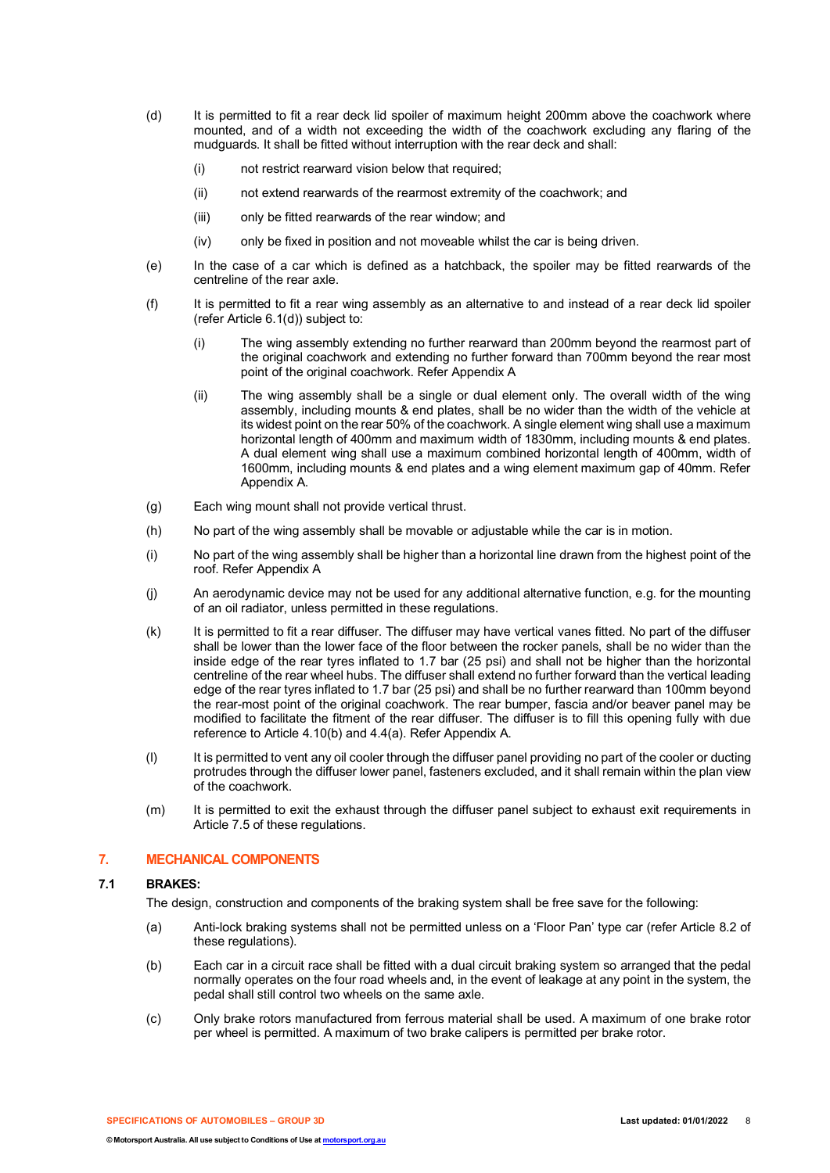- (d) It is permitted to fit a rear deck lid spoiler of maximum height 200mm above the coachwork where mounted, and of a width not exceeding the width of the coachwork excluding any flaring of the mudguards. It shall be fitted without interruption with the rear deck and shall:
	- (i) not restrict rearward vision below that required;
	- (ii) not extend rearwards of the rearmost extremity of the coachwork; and
	- (iii) only be fitted rearwards of the rear window; and
	- (iv) only be fixed in position and not moveable whilst the car is being driven.
- (e) In the case of a car which is defined as a hatchback, the spoiler may be fitted rearwards of the centreline of the rear axle.
- (f) It is permitted to fit a rear wing assembly as an alternative to and instead of a rear deck lid spoiler (refer Article 6.1(d)) subject to:
	- (i) The wing assembly extending no further rearward than 200mm beyond the rearmost part of the original coachwork and extending no further forward than 700mm beyond the rear most point of the original coachwork. Refer Appendix A
	- (ii) The wing assembly shall be a single or dual element only. The overall width of the wing assembly, including mounts & end plates, shall be no wider than the width of the vehicle at its widest point on the rear 50% of the coachwork. A single element wing shall use a maximum horizontal length of 400mm and maximum width of 1830mm, including mounts & end plates. A dual element wing shall use a maximum combined horizontal length of 400mm, width of 1600mm, including mounts & end plates and a wing element maximum gap of 40mm. Refer Appendix A.
- (g) Each wing mount shall not provide vertical thrust.
- (h) No part of the wing assembly shall be movable or adjustable while the car is in motion.
- (i) No part of the wing assembly shall be higher than a horizontal line drawn from the highest point of the roof. Refer Appendix A
- (j) An aerodynamic device may not be used for any additional alternative function, e.g. for the mounting of an oil radiator, unless permitted in these regulations.
- (k) It is permitted to fit a rear diffuser. The diffuser may have vertical vanes fitted. No part of the diffuser shall be lower than the lower face of the floor between the rocker panels, shall be no wider than the inside edge of the rear tyres inflated to 1.7 bar (25 psi) and shall not be higher than the horizontal centreline of the rear wheel hubs. The diffuser shall extend no further forward than the vertical leading edge of the rear tyres inflated to 1.7 bar (25 psi) and shall be no further rearward than 100mm beyond the rear-most point of the original coachwork. The rear bumper, fascia and/or beaver panel may be modified to facilitate the fitment of the rear diffuser. The diffuser is to fill this opening fully with due reference to Article 4.10(b) and 4.4(a). Refer Appendix A.
- (l) It is permitted to vent any oil cooler through the diffuser panel providing no part of the cooler or ducting protrudes through the diffuser lower panel, fasteners excluded, and it shall remain within the plan view of the coachwork.
- (m) It is permitted to exit the exhaust through the diffuser panel subject to exhaust exit requirements in Article 7.5 of these regulations.

#### **7. MECHANICAL COMPONENTS**

#### **7.1 BRAKES:**

The design, construction and components of the braking system shall be free save for the following:

- (a) Anti-lock braking systems shall not be permitted unless on a 'Floor Pan' type car (refer Article 8.2 of these regulations).
- (b) Each car in a circuit race shall be fitted with a dual circuit braking system so arranged that the pedal normally operates on the four road wheels and, in the event of leakage at any point in the system, the pedal shall still control two wheels on the same axle.
- (c) Only brake rotors manufactured from ferrous material shall be used. A maximum of one brake rotor per wheel is permitted. A maximum of two brake calipers is permitted per brake rotor.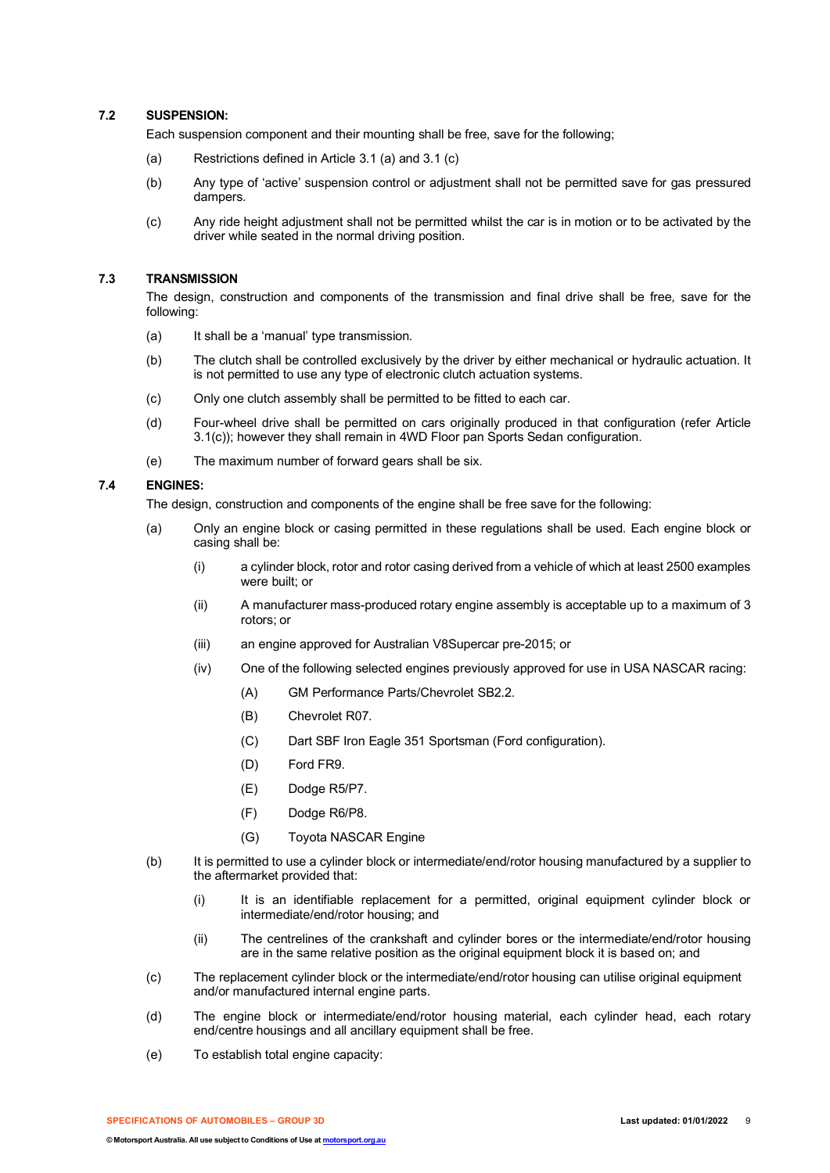## **7.2 SUSPENSION:**

Each suspension component and their mounting shall be free, save for the following;

- (a) Restrictions defined in Article 3.1 (a) and 3.1 (c)
- (b) Any type of 'active' suspension control or adjustment shall not be permitted save for gas pressured dampers.
- (c) Any ride height adjustment shall not be permitted whilst the car is in motion or to be activated by the driver while seated in the normal driving position.

#### **7.3 TRANSMISSION**

The design, construction and components of the transmission and final drive shall be free, save for the following:

- (a) It shall be a 'manual' type transmission.
- (b) The clutch shall be controlled exclusively by the driver by either mechanical or hydraulic actuation. It is not permitted to use any type of electronic clutch actuation systems.
- (c) Only one clutch assembly shall be permitted to be fitted to each car.
- (d) Four-wheel drive shall be permitted on cars originally produced in that configuration (refer Article 3.1(c)); however they shall remain in 4WD Floor pan Sports Sedan configuration.
- (e) The maximum number of forward gears shall be six.

#### **7.4 ENGINES:**

The design, construction and components of the engine shall be free save for the following:

- (a) Only an engine block or casing permitted in these regulations shall be used. Each engine block or casing shall be:
	- (i) a cylinder block, rotor and rotor casing derived from a vehicle of which at least 2500 examples were built; or
	- (ii) A manufacturer mass-produced rotary engine assembly is acceptable up to a maximum of 3 rotors; or
	- (iii) an engine approved for Australian V8Supercar pre-2015; or
	- (iv) One of the following selected engines previously approved for use in USA NASCAR racing:
		- (A) GM Performance Parts/Chevrolet SB2.2.
		- (B) Chevrolet R07.
		- (C) Dart SBF Iron Eagle 351 Sportsman (Ford configuration).
		- (D) Ford FR9.
		- (E) Dodge R5/P7.
		- (F) Dodge R6/P8.
		- (G) Toyota NASCAR Engine
- (b) It is permitted to use a cylinder block or intermediate/end/rotor housing manufactured by a supplier to the aftermarket provided that:
	- (i) It is an identifiable replacement for a permitted, original equipment cylinder block or intermediate/end/rotor housing; and
	- (ii) The centrelines of the crankshaft and cylinder bores or the intermediate/end/rotor housing are in the same relative position as the original equipment block it is based on; and
- (c) The replacement cylinder block or the intermediate/end/rotor housing can utilise original equipment and/or manufactured internal engine parts.
- (d) The engine block or intermediate/end/rotor housing material, each cylinder head, each rotary end/centre housings and all ancillary equipment shall be free.
- (e) To establish total engine capacity: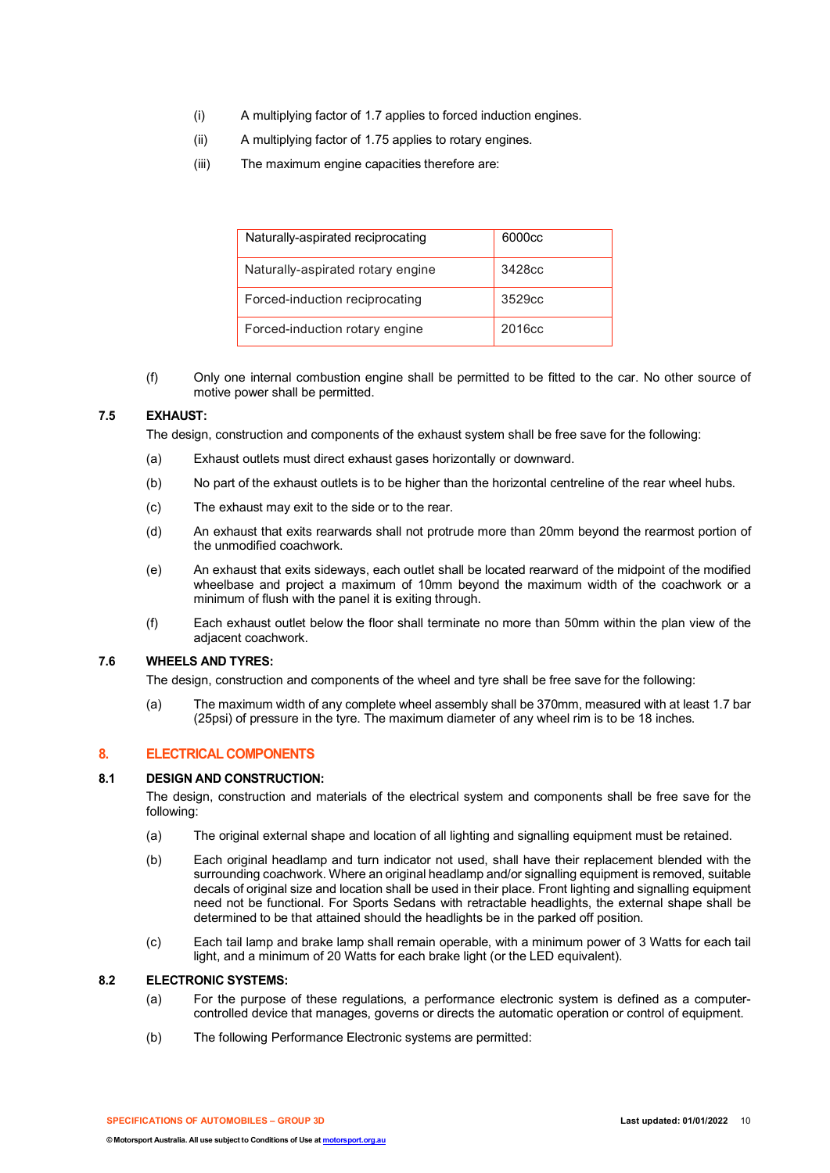- (i) A multiplying factor of 1.7 applies to forced induction engines.
- (ii) A multiplying factor of 1.75 applies to rotary engines.
- (iii) The maximum engine capacities therefore are:

| Naturally-aspirated reciprocating | 6000cc             |
|-----------------------------------|--------------------|
| Naturally-aspirated rotary engine | 3428cc             |
| Forced-induction reciprocating    | 3529cc             |
| Forced-induction rotary engine    | 2016 <sub>cc</sub> |

(f) Only one internal combustion engine shall be permitted to be fitted to the car. No other source of motive power shall be permitted.

## **7.5 EXHAUST:**

The design, construction and components of the exhaust system shall be free save for the following:

- (a) Exhaust outlets must direct exhaust gases horizontally or downward.
- (b) No part of the exhaust outlets is to be higher than the horizontal centreline of the rear wheel hubs.
- (c) The exhaust may exit to the side or to the rear.
- (d) An exhaust that exits rearwards shall not protrude more than 20mm beyond the rearmost portion of the unmodified coachwork.
- (e) An exhaust that exits sideways, each outlet shall be located rearward of the midpoint of the modified wheelbase and project a maximum of 10mm beyond the maximum width of the coachwork or a minimum of flush with the panel it is exiting through.
- (f) Each exhaust outlet below the floor shall terminate no more than 50mm within the plan view of the adjacent coachwork.

## **7.6 WHEELS AND TYRES:**

The design, construction and components of the wheel and tyre shall be free save for the following:

(a) The maximum width of any complete wheel assembly shall be 370mm, measured with at least 1.7 bar (25psi) of pressure in the tyre. The maximum diameter of any wheel rim is to be 18 inches.

## **8. ELECTRICAL COMPONENTS**

## **8.1 DESIGN AND CONSTRUCTION:**

The design, construction and materials of the electrical system and components shall be free save for the following:

- (a) The original external shape and location of all lighting and signalling equipment must be retained.
- (b) Each original headlamp and turn indicator not used, shall have their replacement blended with the surrounding coachwork. Where an original headlamp and/or signalling equipment is removed, suitable decals of original size and location shall be used in their place. Front lighting and signalling equipment need not be functional. For Sports Sedans with retractable headlights, the external shape shall be determined to be that attained should the headlights be in the parked off position.
- (c) Each tail lamp and brake lamp shall remain operable, with a minimum power of 3 Watts for each tail light, and a minimum of 20 Watts for each brake light (or the LED equivalent).

#### **8.2 ELECTRONIC SYSTEMS:**

- (a) For the purpose of these regulations, a performance electronic system is defined as a computercontrolled device that manages, governs or directs the automatic operation or control of equipment.
- (b) The following Performance Electronic systems are permitted:

**SPECIFICATIONS OF AUTOMOBILES – GROUP 3D Last updated: 01/01/2022** 10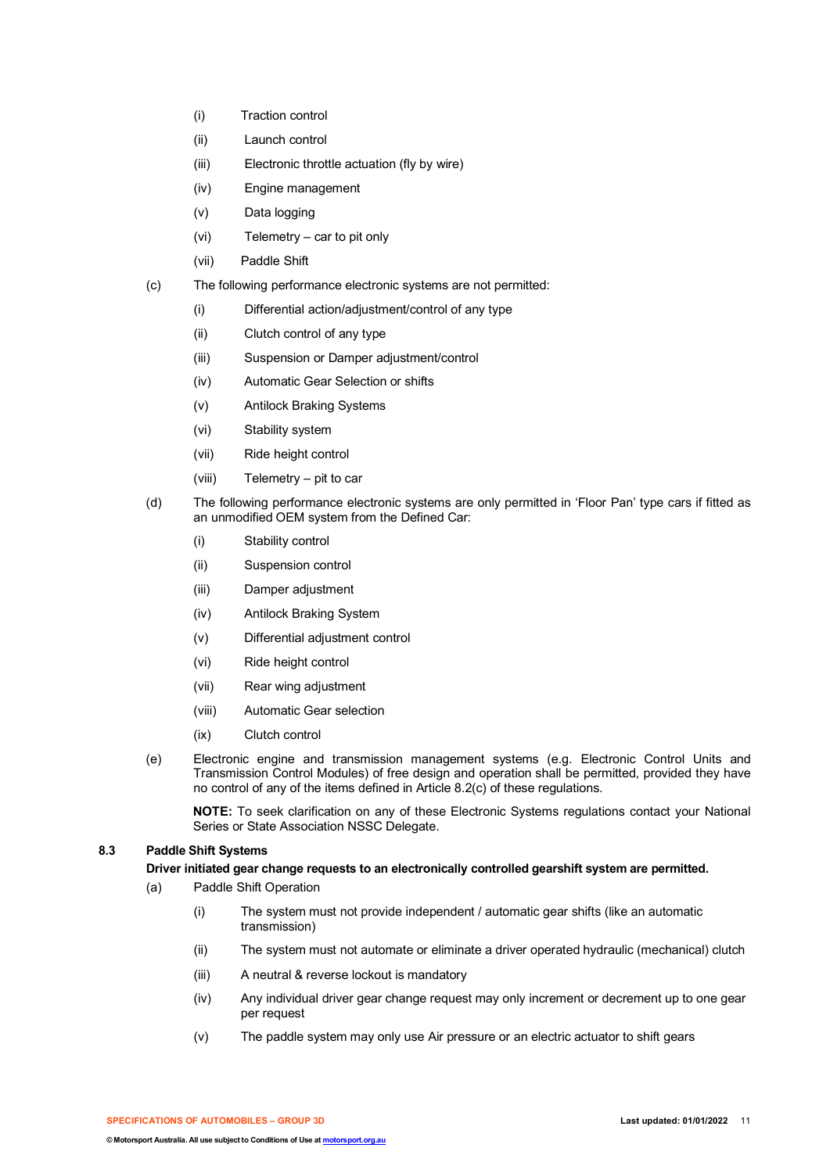- (i) Traction control
- (ii) Launch control
- (iii) Electronic throttle actuation (fly by wire)
- (iv) Engine management
- (v) Data logging
- (vi) Telemetry car to pit only
- (vii) Paddle Shift
- (c) The following performance electronic systems are not permitted:
	- (i) Differential action/adjustment/control of any type
	- (ii) Clutch control of any type
	- (iii) Suspension or Damper adjustment/control
	- (iv) Automatic Gear Selection or shifts
	- (v) Antilock Braking Systems
	- (vi) Stability system
	- (vii) Ride height control
	- (viii) Telemetry pit to car
- (d) The following performance electronic systems are only permitted in 'Floor Pan' type cars if fitted as an unmodified OEM system from the Defined Car:
	- (i) Stability control
	- (ii) Suspension control
	- (iii) Damper adjustment
	- (iv) Antilock Braking System
	- (v) Differential adjustment control
	- (vi) Ride height control
	- (vii) Rear wing adjustment
	- (viii) Automatic Gear selection
	- (ix) Clutch control
- (e) Electronic engine and transmission management systems (e.g. Electronic Control Units and Transmission Control Modules) of free design and operation shall be permitted, provided they have no control of any of the items defined in Article 8.2(c) of these regulations.

**NOTE:** To seek clarification on any of these Electronic Systems regulations contact your National Series or State Association NSSC Delegate.

## **8.3 Paddle Shift Systems**

**Driver initiated gear change requests to an electronically controlled gearshift system are permitted.**

- (a) Paddle Shift Operation
	- (i) The system must not provide independent / automatic gear shifts (like an automatic transmission)
	- (ii) The system must not automate or eliminate a driver operated hydraulic (mechanical) clutch
	- (iii) A neutral & reverse lockout is mandatory
	- (iv) Any individual driver gear change request may only increment or decrement up to one gear per request
	- (v) The paddle system may only use Air pressure or an electric actuator to shift gears

**SPECIFICATIONS OF AUTOMOBILES – GROUP 3D Last updated: 01/01/2022** 11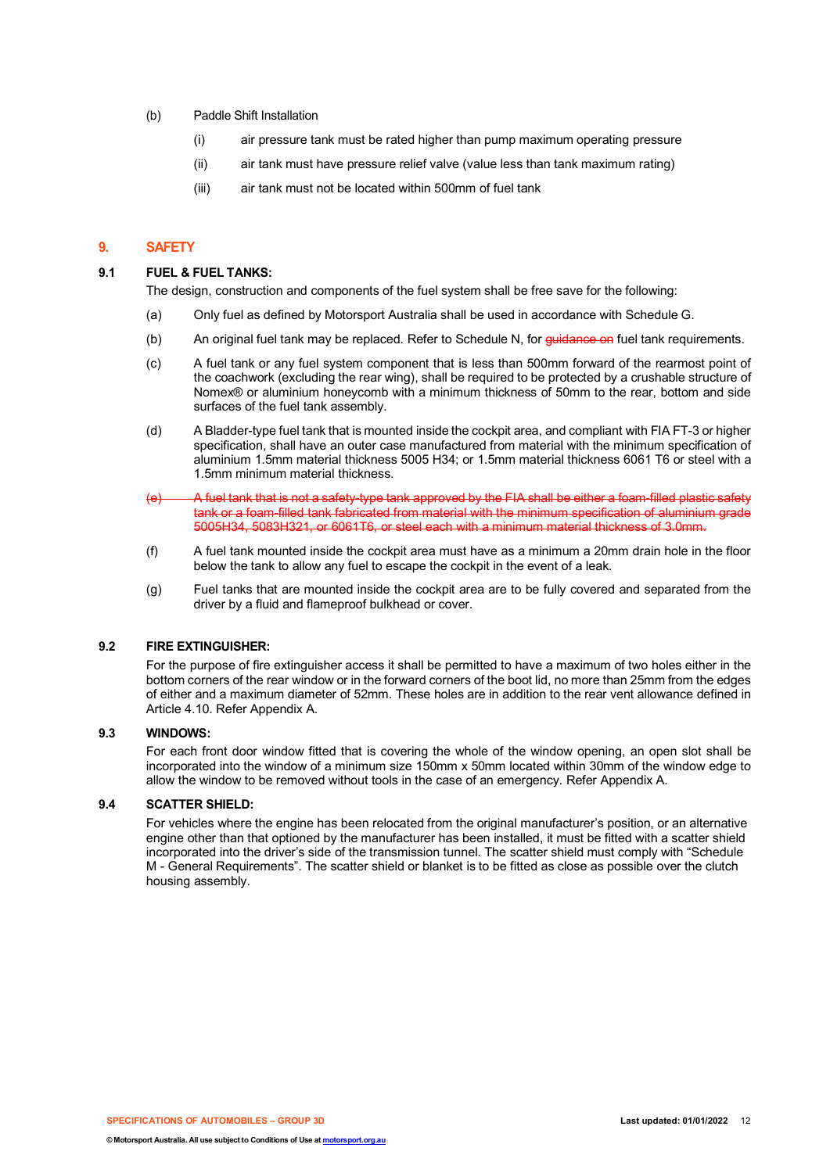- (b) Paddle Shift Installation
	- (i) air pressure tank must be rated higher than pump maximum operating pressure
	- (ii) air tank must have pressure relief valve (value less than tank maximum rating)
	- (iii) air tank must not be located within 500mm of fuel tank

## **9. SAFETY**

#### **9.1 FUEL & FUEL TANKS:**

The design, construction and components of the fuel system shall be free save for the following:

- (a) Only fuel as defined by Motorsport Australia shall be used in accordance with Schedule G.
- (b) An original fuel tank may be replaced. Refer to Schedule N, for guidance on fuel tank requirements.
- (c) A fuel tank or any fuel system component that is less than 500mm forward of the rearmost point of the coachwork (excluding the rear wing), shall be required to be protected by a crushable structure of Nomex® or aluminium honeycomb with a minimum thickness of 50mm to the rear, bottom and side surfaces of the fuel tank assembly.
- (d) A Bladder-type fuel tank that is mounted inside the cockpit area, and compliant with FIA FT-3 or higher specification, shall have an outer case manufactured from material with the minimum specification of aluminium 1.5mm material thickness 5005 H34; or 1.5mm material thickness 6061 T6 or steel with a 1.5mm minimum material thickness.
- (e) A fuel tank that is not a safety-type tank approved by the FIA shall be either a foam-filled plastic safety tank or a foam-filled tank fabricated from material with the minimum specification of aluminium grade 5005H34, 5083H321, or 6061T6, or steel each with a minimum material thickness of 3.0mm.
- (f) A fuel tank mounted inside the cockpit area must have as a minimum a 20mm drain hole in the floor below the tank to allow any fuel to escape the cockpit in the event of a leak.
- (g) Fuel tanks that are mounted inside the cockpit area are to be fully covered and separated from the driver by a fluid and flameproof bulkhead or cover.

## **9.2 FIRE EXTINGUISHER:**

For the purpose of fire extinguisher access it shall be permitted to have a maximum of two holes either in the bottom corners of the rear window or in the forward corners of the boot lid, no more than 25mm from the edges of either and a maximum diameter of 52mm. These holes are in addition to the rear vent allowance defined in Article 4.10. Refer Appendix A.

## **9.3 WINDOWS:**

For each front door window fitted that is covering the whole of the window opening, an open slot shall be incorporated into the window of a minimum size 150mm x 50mm located within 30mm of the window edge to allow the window to be removed without tools in the case of an emergency. Refer Appendix A.

#### **9.4 SCATTER SHIELD:**

For vehicles where the engine has been relocated from the original manufacturer's position, or an alternative engine other than that optioned by the manufacturer has been installed, it must be fitted with a scatter shield incorporated into the driver's side of the transmission tunnel. The scatter shield must comply with "Schedule M - General Requirements". The scatter shield or blanket is to be fitted as close as possible over the clutch housing assembly.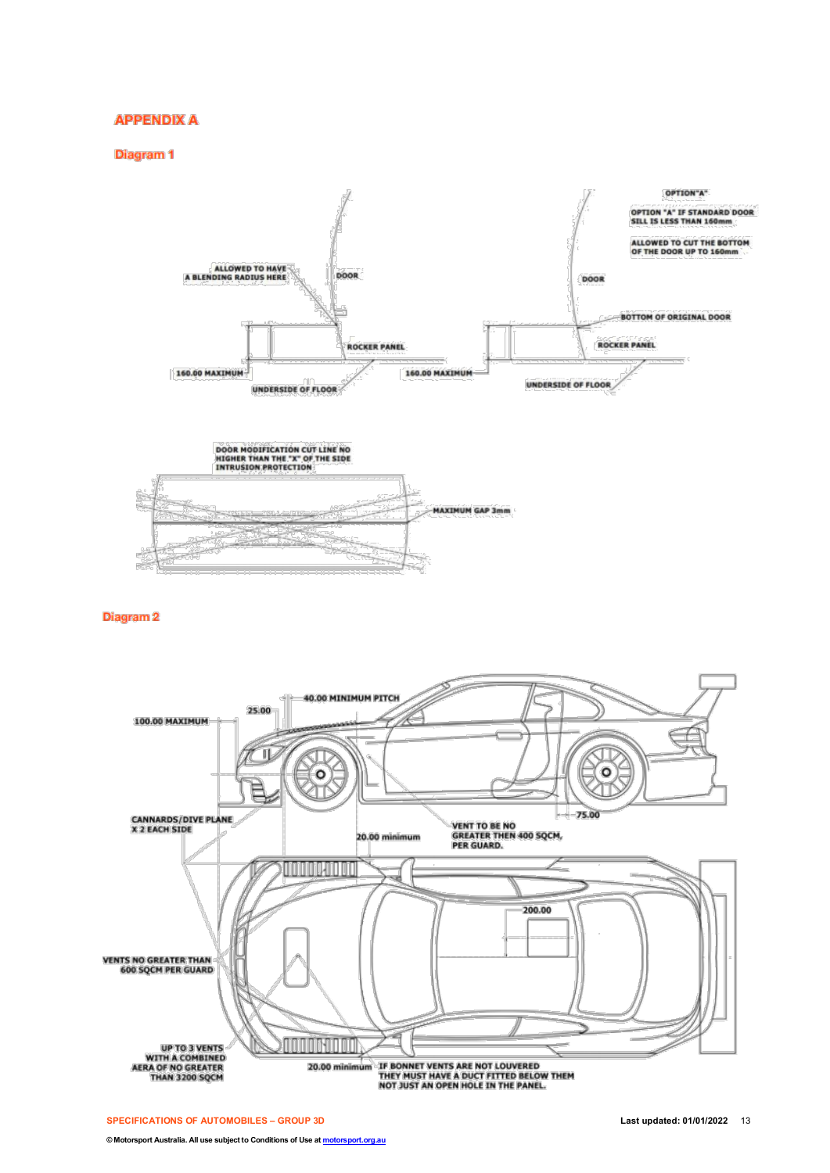## **APPENDIX A**

**Diagram 1** 





**Diagram 2**